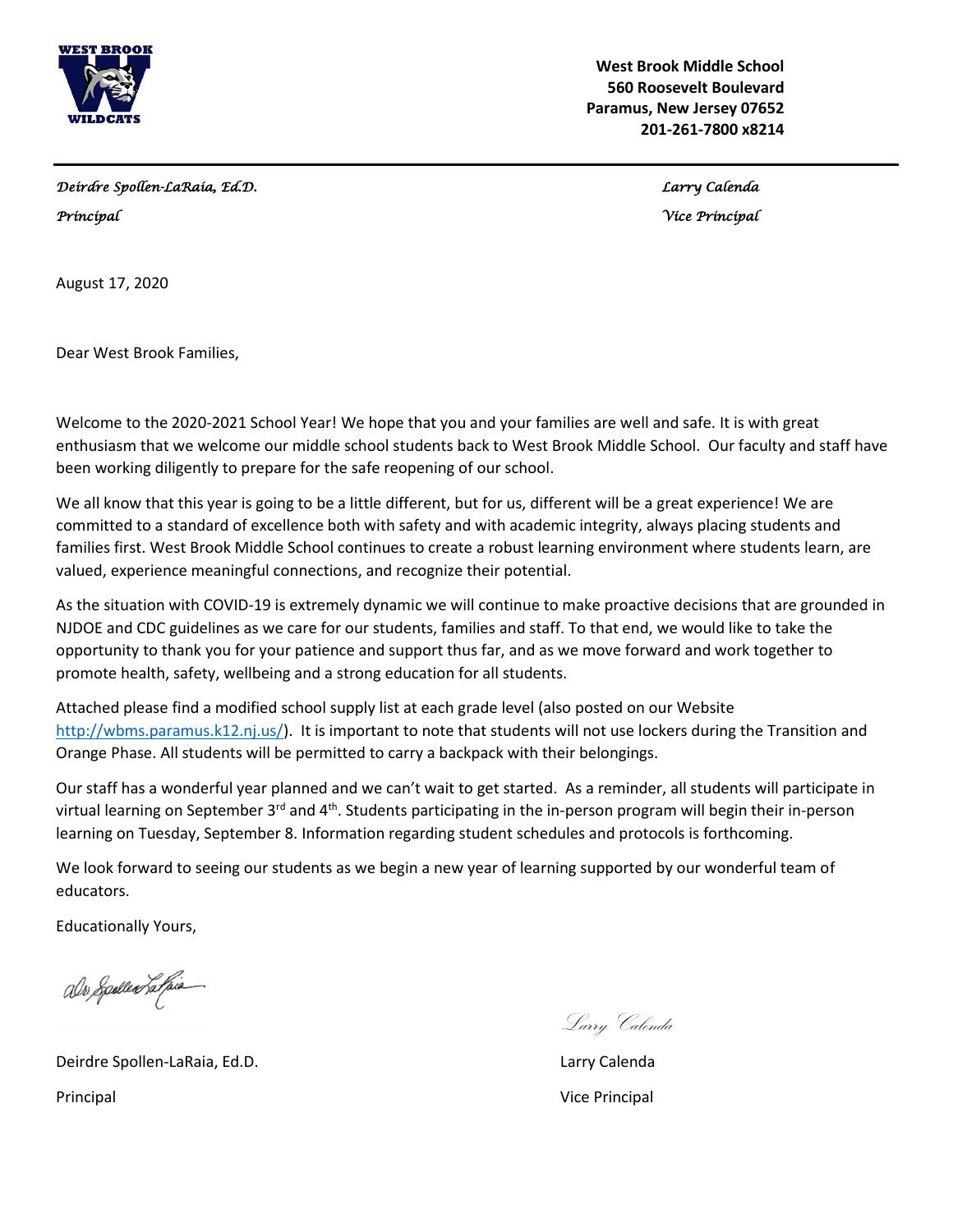

 **West Brook Middle School 560 Roosevelt Boulevard Paramus, New Jersey 07652 201-261-7800 x8214**

*Deirdre Spollen-LaRaia, Ed.D. Larry Calenda* 

*Principal Vice Principal* 

August 17, 2020

Dear West Brook Families,

Welcome to the 2020-2021 School Year! We hope that you and your families are well and safe. It is with great enthusiasm that we welcome our middle school students back to West Brook Middle School. Our faculty and staff have been working diligently to prepare for the safe reopening of our school.

We all know that this year is going to be a little different, but for us, different will be a great experience! We are committed to a standard of excellence both with safety and with academic integrity, always placing students and families first. West Brook Middle School continues to create a robust learning environment where students learn, are valued, experience meaningful connections, and recognize their potential.

As the situation with COVID-19 is extremely dynamic we will continue to make proactive decisions that are grounded in NJDOE and CDC guidelines as we care for our students, families and staff. To that end, we would like to take the opportunity to thank you for your patience and support thus far, and as we move forward and work together to promote health, safety, wellbeing and a strong education for all students.

Attached please find a modified school supply list at each grade level (also posted on our Website [http://wbms.paramus.k12.nj.us/\)](http://wbms.paramus.k12.nj.us/). It is important to note that students will not use lockers during the Transition and Orange Phase. All students will be permitted to carry a backpack with their belongings.

Our staff has a wonderful year planned and we can't wait to get started. As a reminder, all students will participate in virtual learning on September 3<sup>rd</sup> and 4<sup>th</sup>. Students participating in the in-person program will begin their in-person learning on Tuesday, September 8. Information regarding student schedules and protocols is forthcoming.

We look forward to seeing our students as we begin a new year of learning supported by our wonderful team of educators.

Educationally Yours,

als Spolled Latpia

Deirdre Spollen-LaRaia, Ed.D. Larry Calenda Principal **Principal** Vice Principal **Vice Principal** Vice Principal Vice Principal Vice Principal Vice Principal Vice Principal Vice Principal Vice Principal Vice Principal Vice Principal Vice Principal Vice Principal Vic

Larry Calenda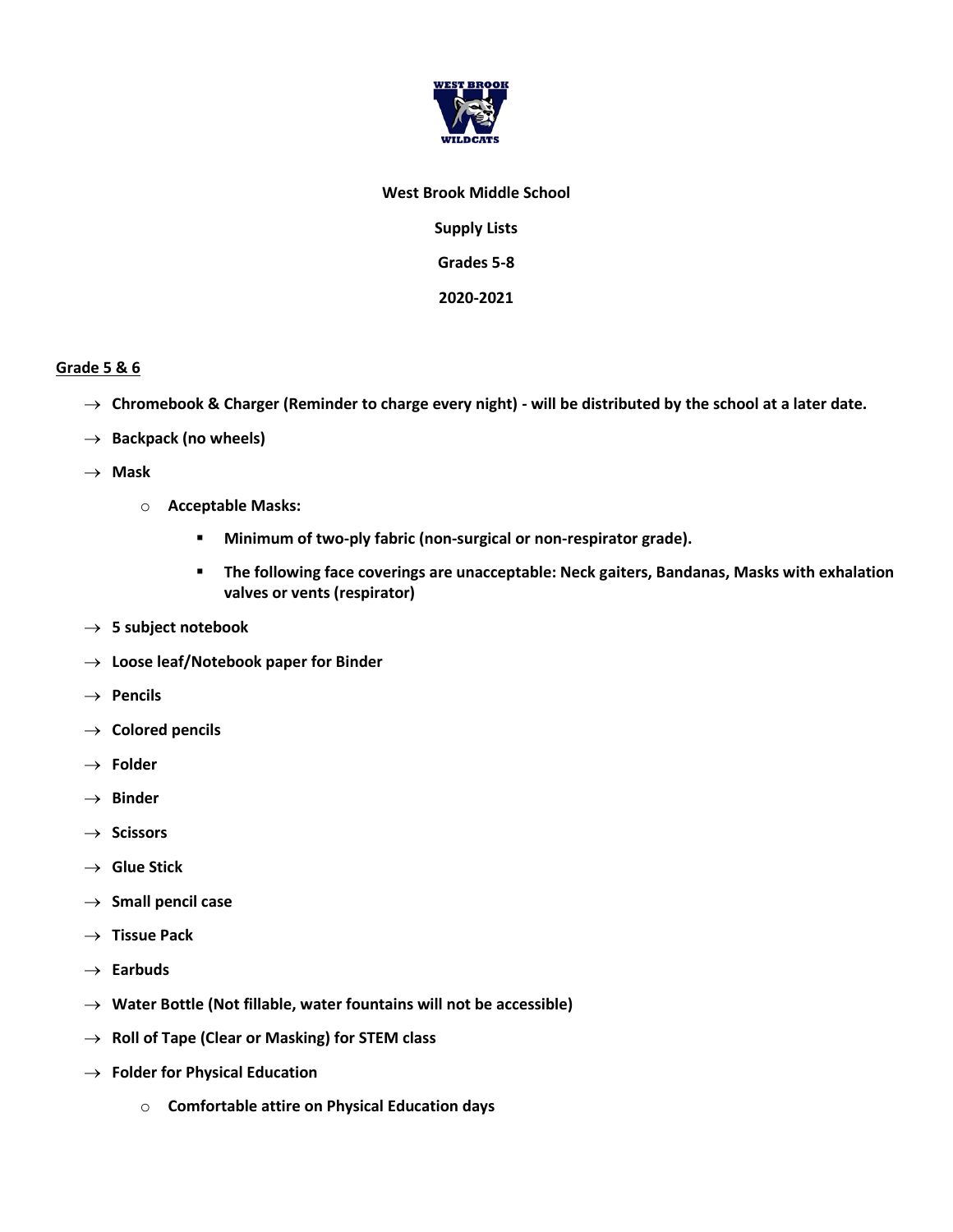

## **West Brook Middle School**

**Supply Lists**

**Grades 5-8**

**2020-2021**

## **Grade 5 & 6**

- → **Chromebook & Charger (Reminder to charge every night) - will be distributed by the school at a later date.**
- → **Backpack (no wheels)**
- → **Mask**
	- o **Acceptable Masks:**
		- **Minimum of two-ply fabric (non-surgical or non-respirator grade).**
		- **The following face coverings are unacceptable: Neck gaiters, Bandanas, Masks with exhalation valves or vents (respirator)**
- → **5 subject notebook**
- → **Loose leaf/Notebook paper for Binder**
- → **Pencils**
- → **Colored pencils**
- → **Folder**
- → **Binder**
- → **Scissors**
- → **Glue Stick**
- → **Small pencil case**
- → **Tissue Pack**
- → **Earbuds**
- → **Water Bottle (Not fillable, water fountains will not be accessible)**
- → **Roll of Tape (Clear or Masking) for STEM class**
- → **Folder for Physical Education**
	- o **Comfortable attire on Physical Education days**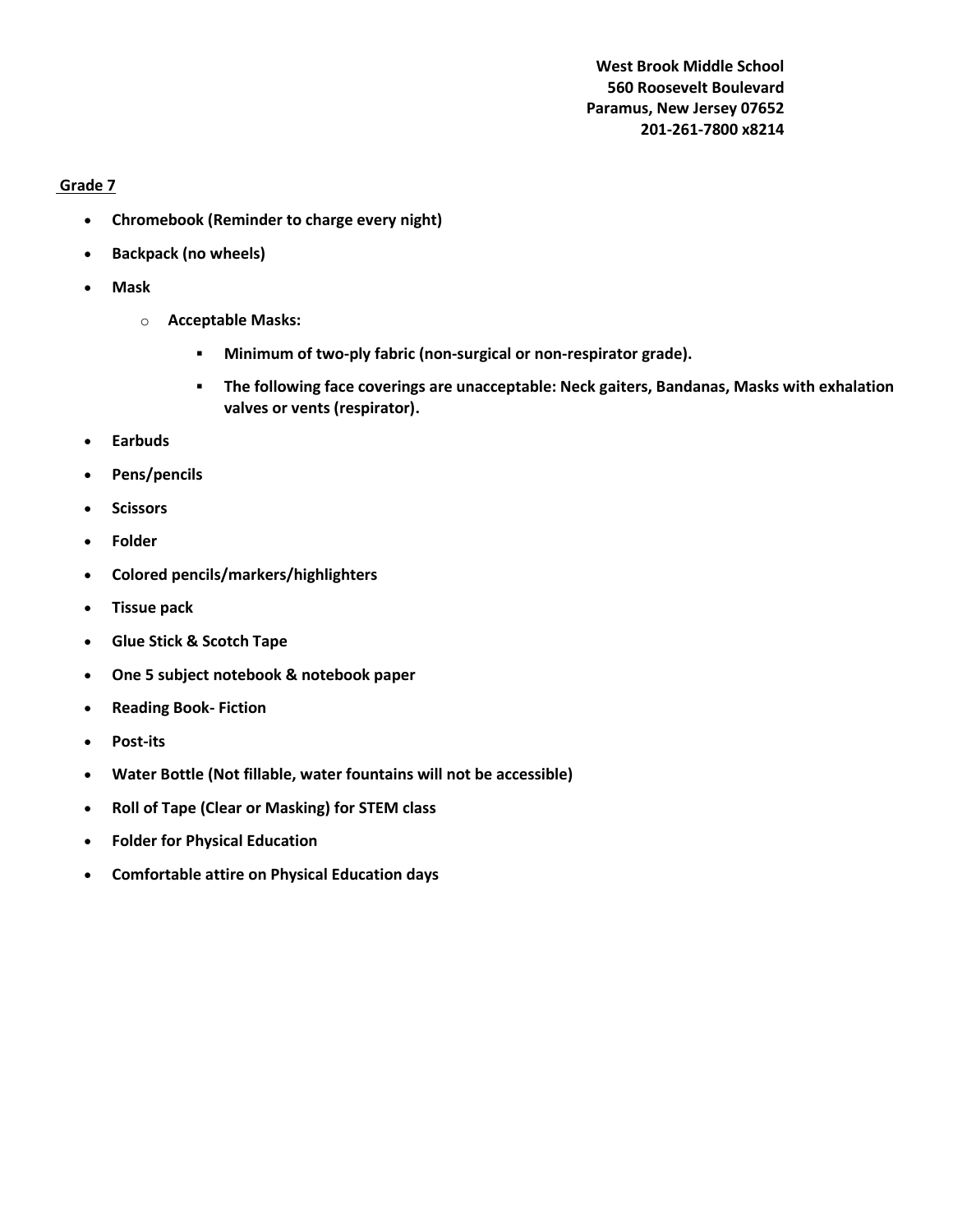**West Brook Middle School 560 Roosevelt Boulevard Paramus, New Jersey 07652 201-261-7800 x8214**

## **Grade 7**

- **Chromebook (Reminder to charge every night)**
- **Backpack (no wheels)**
- **Mask**
	- o **Acceptable Masks:**
		- **Minimum of two-ply fabric (non-surgical or non-respirator grade).**
		- **The following face coverings are unacceptable: Neck gaiters, Bandanas, Masks with exhalation valves or vents (respirator).**
- **Earbuds**
- **Pens/pencils**
- **Scissors**
- **Folder**
- **Colored pencils/markers/highlighters**
- **Tissue pack**
- **Glue Stick & Scotch Tape**
- **One 5 subject notebook & notebook paper**
- **Reading Book- Fiction**
- **Post-its**
- **Water Bottle (Not fillable, water fountains will not be accessible)**
- **Roll of Tape (Clear or Masking) for STEM class**
- **Folder for Physical Education**
- **Comfortable attire on Physical Education days**